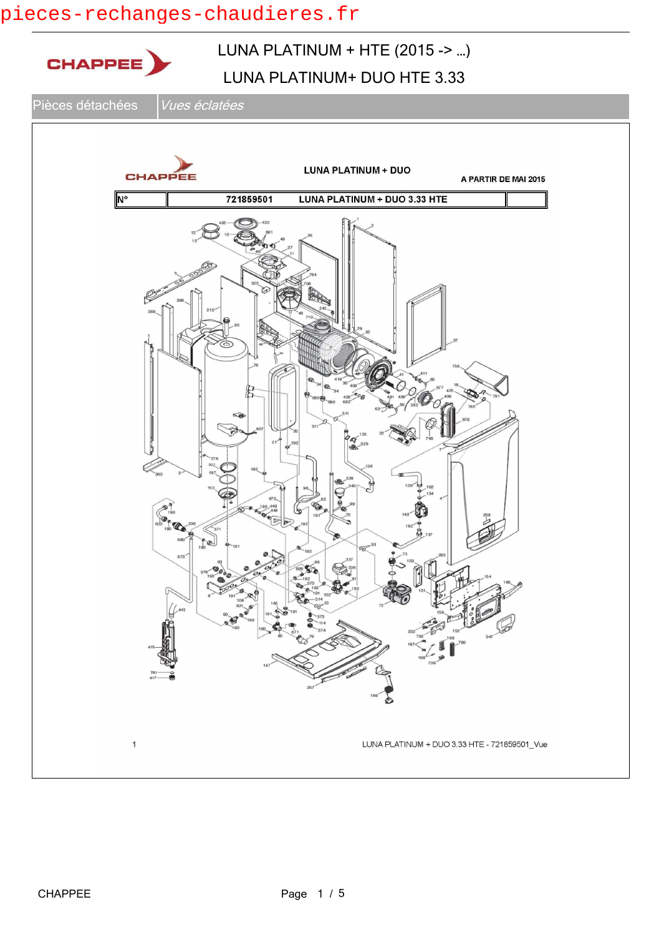### pieces-rechanges-chaudieres.fr

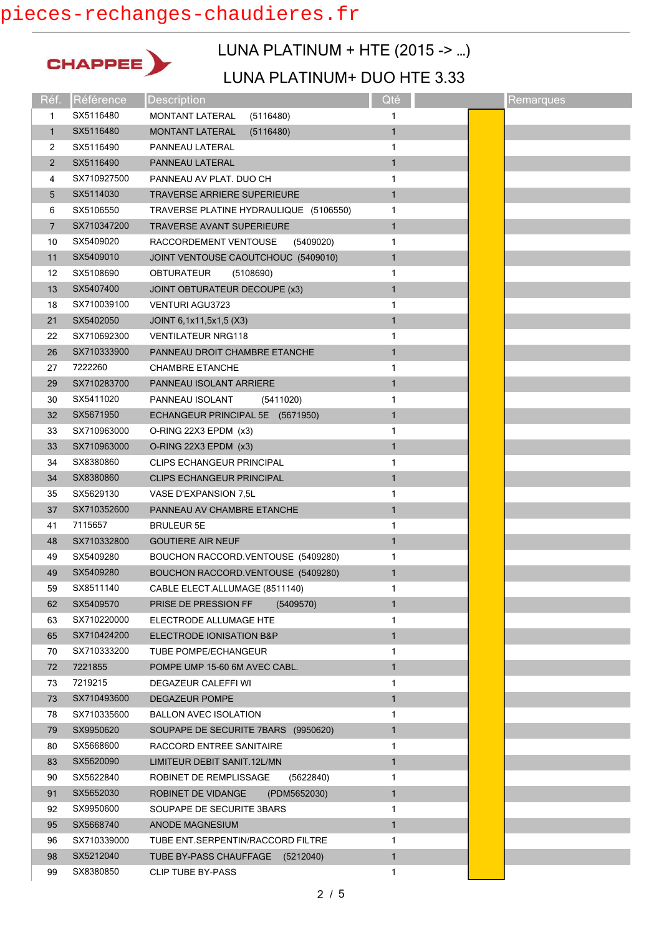# pieces-rechanges-chaudieres.fr



## LUNA PLATINUM + HTE (2015 -> …)

| Réf.           | Référence   | <b>Description</b>                     | Qté          | Remarques |
|----------------|-------------|----------------------------------------|--------------|-----------|
| 1              | SX5116480   | MONTANT LATERAL<br>(5116480)           | 1            |           |
| $\mathbf{1}$   | SX5116480   | <b>MONTANT LATERAL</b><br>(5116480)    | 1            |           |
| 2              | SX5116490   | PANNEAU LATERAL                        | 1            |           |
| $\overline{2}$ | SX5116490   | PANNEAU LATERAL                        | $\mathbf{1}$ |           |
| 4              | SX710927500 | PANNEAU AV PLAT. DUO CH                | 1            |           |
| 5              | SX5114030   | <b>TRAVERSE ARRIERE SUPERIEURE</b>     | $\mathbf{1}$ |           |
| 6              | SX5106550   | TRAVERSE PLATINE HYDRAULIQUE (5106550) | 1            |           |
| 7              | SX710347200 | <b>TRAVERSE AVANT SUPERIEURE</b>       | $\mathbf{1}$ |           |
| 10             | SX5409020   | (5409020)<br>RACCORDEMENT VENTOUSE     | 1            |           |
| 11             | SX5409010   | JOINT VENTOUSE CAOUTCHOUC (5409010)    | $\mathbf{1}$ |           |
| 12             | SX5108690   | <b>OBTURATEUR</b><br>(5108690)         | 1            |           |
| 13             | SX5407400   | JOINT OBTURATEUR DECOUPE (x3)          | $\mathbf{1}$ |           |
| 18             | SX710039100 | <b>VENTURI AGU3723</b>                 | 1            |           |
| 21             | SX5402050   | JOINT 6,1x11,5x1,5 (X3)                | $\mathbf{1}$ |           |
| 22             | SX710692300 | <b>VENTILATEUR NRG118</b>              | 1            |           |
| 26             | SX710333900 | PANNEAU DROIT CHAMBRE ETANCHE          | 1            |           |
| 27             | 7222260     | <b>CHAMBRE ETANCHE</b>                 | 1            |           |
| 29             | SX710283700 | PANNEAU ISOLANT ARRIERE                | $\mathbf{1}$ |           |
| 30             | SX5411020   | PANNEAU ISOLANT<br>(5411020)           | 1            |           |
| 32             | SX5671950   | ECHANGEUR PRINCIPAL 5E (5671950)       | $\mathbf{1}$ |           |
| 33             | SX710963000 | O-RING 22X3 EPDM (x3)                  | 1            |           |
| 33             | SX710963000 | O-RING 22X3 EPDM (x3)                  | $\mathbf{1}$ |           |
| 34             | SX8380860   | <b>CLIPS ECHANGEUR PRINCIPAL</b>       | 1            |           |
| 34             | SX8380860   | <b>CLIPS ECHANGEUR PRINCIPAL</b>       | 1            |           |
| 35             | SX5629130   | VASE D'EXPANSION 7,5L                  | 1            |           |
| 37             | SX710352600 | PANNEAU AV CHAMBRE ETANCHE             | $\mathbf{1}$ |           |
| 41             | 7115657     | <b>BRULEUR 5E</b>                      | 1            |           |
| 48             | SX710332800 | <b>GOUTIERE AIR NEUF</b>               | $\mathbf{1}$ |           |
| 49             | SX5409280   | BOUCHON RACCORD.VENTOUSE (5409280)     | 1            |           |
| 49             | SX5409280   | BOUCHON RACCORD.VENTOUSE (5409280)     | $\mathbf{1}$ |           |
| 59             | SX8511140   | CABLE ELECT.ALLUMAGE (8511140)         | 1            |           |
| 62             | SX5409570   | PRISE DE PRESSION FF<br>(5409570)      | $\mathbf{1}$ |           |
| 63             | SX710220000 | ELECTRODE ALLUMAGE HTE                 | 1            |           |
| 65             | SX710424200 | ELECTRODE IONISATION B&P               | $\mathbf{1}$ |           |
| 70             | SX710333200 | TUBE POMPE/ECHANGEUR                   | 1            |           |
| 72             | 7221855     | POMPE UMP 15-60 6M AVEC CABL.          | $\mathbf{1}$ |           |
| 73             | 7219215     | DEGAZEUR CALEFFI WI                    | 1            |           |
| 73             | SX710493600 | <b>DEGAZEUR POMPE</b>                  | 1            |           |
| 78             | SX710335600 | <b>BALLON AVEC ISOLATION</b>           | 1            |           |
| 79             | SX9950620   | SOUPAPE DE SECURITE 7BARS (9950620)    | 1            |           |
| 80             | SX5668600   | RACCORD ENTREE SANITAIRE               | 1            |           |
| 83             | SX5620090   | LIMITEUR DEBIT SANIT.12L/MN            | $\mathbf{1}$ |           |
| 90             | SX5622840   | ROBINET DE REMPLISSAGE<br>(5622840)    | 1            |           |
| 91             | SX5652030   | ROBINET DE VIDANGE<br>(PDM5652030)     | $\mathbf{1}$ |           |
| 92             | SX9950600   | SOUPAPE DE SECURITE 3BARS              | 1            |           |
| 95             | SX5668740   | <b>ANODE MAGNESIUM</b>                 | $\mathbf{1}$ |           |
| 96             | SX710339000 | TUBE ENT.SERPENTIN/RACCORD FILTRE      | 1            |           |
| 98             | SX5212040   | TUBE BY-PASS CHAUFFAGE (5212040)       | $\mathbf{1}$ |           |
| 99             | SX8380850   | CLIP TUBE BY-PASS                      | 1            |           |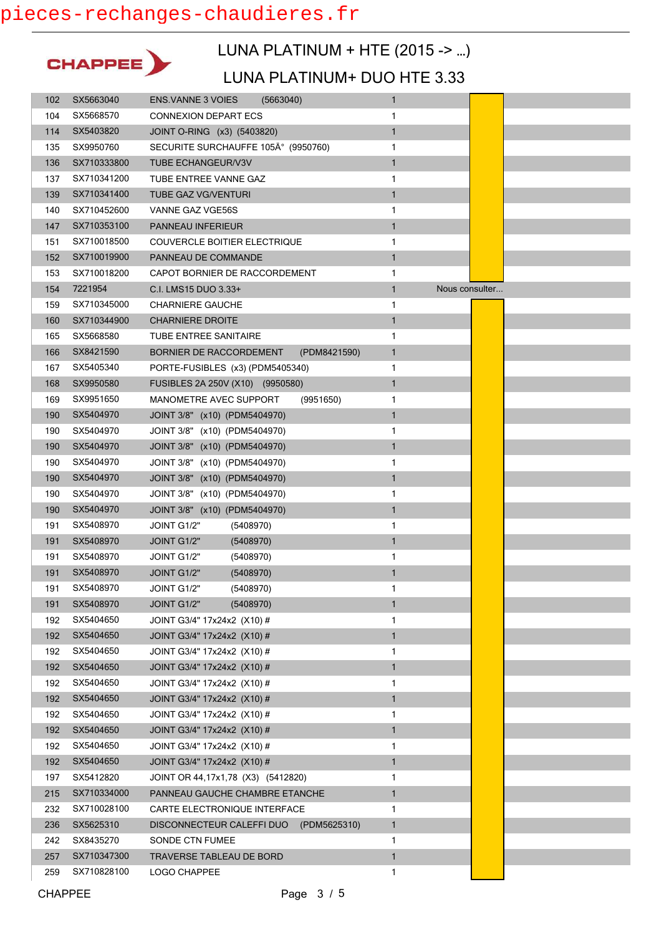

### LUNA PLATINUM + HTE (2015 -> …)

| 102 | SX5663040   | <b>ENS. VANNE 3 VOIES</b><br>(5663040)    | $\mathbf{1}$                   |  |
|-----|-------------|-------------------------------------------|--------------------------------|--|
| 104 | SX5668570   | <b>CONNEXION DEPART ECS</b>               | 1                              |  |
| 114 | SX5403820   | JOINT O-RING (x3) (5403820)               | $\mathbf{1}$                   |  |
| 135 | SX9950760   | SECURITE SURCHAUFFE 105° (9950760)        | 1                              |  |
| 136 | SX710333800 | <b>TUBE ECHANGEUR/V3V</b>                 | $\mathbf{1}$                   |  |
| 137 | SX710341200 | TUBE ENTREE VANNE GAZ                     | 1                              |  |
| 139 | SX710341400 | <b>TUBE GAZ VG/VENTURI</b>                | $\mathbf{1}$                   |  |
| 140 | SX710452600 | VANNE GAZ VGE56S                          | 1                              |  |
| 147 | SX710353100 | PANNEAU INFERIEUR                         | $\mathbf{1}$                   |  |
| 151 | SX710018500 | COUVERCLE BOITIER ELECTRIQUE              | 1                              |  |
| 152 | SX710019900 | PANNEAU DE COMMANDE                       | $\mathbf{1}$                   |  |
| 153 | SX710018200 | CAPOT BORNIER DE RACCORDEMENT             | 1                              |  |
| 154 | 7221954     | C.I. LMS15 DUO 3.33+                      | $\mathbf{1}$<br>Nous consulter |  |
| 159 | SX710345000 | <b>CHARNIERE GAUCHE</b>                   | 1                              |  |
| 160 | SX710344900 | <b>CHARNIERE DROITE</b>                   | $\mathbf{1}$                   |  |
| 165 | SX5668580   | <b>TUBE ENTREE SANITAIRE</b>              | 1                              |  |
| 166 | SX8421590   | BORNIER DE RACCORDEMENT<br>(PDM8421590)   | $\mathbf{1}$                   |  |
| 167 | SX5405340   | PORTE-FUSIBLES (x3) (PDM5405340)          | 1                              |  |
| 168 | SX9950580   | FUSIBLES 2A 250V (X10) (9950580)          | $\mathbf{1}$                   |  |
| 169 | SX9951650   | MANOMETRE AVEC SUPPORT<br>(9951650)       | 1                              |  |
| 190 | SX5404970   | JOINT 3/8" (x10) (PDM5404970)             | $\mathbf{1}$                   |  |
| 190 | SX5404970   | JOINT 3/8" (x10) (PDM5404970)             | 1                              |  |
| 190 | SX5404970   | JOINT 3/8" (x10) (PDM5404970)             | $\mathbf{1}$                   |  |
| 190 | SX5404970   | JOINT 3/8" (x10) (PDM5404970)             | 1                              |  |
| 190 | SX5404970   | JOINT 3/8" (x10) (PDM5404970)             | $\mathbf{1}$                   |  |
| 190 | SX5404970   | JOINT 3/8" (x10) (PDM5404970)             | 1                              |  |
| 190 | SX5404970   | JOINT 3/8" (x10) (PDM5404970)             | $\mathbf{1}$                   |  |
| 191 | SX5408970   | JOINT G1/2"<br>(5408970)                  | 1                              |  |
| 191 | SX5408970   | (5408970)<br>JOINT G1/2"                  | $\mathbf{1}$                   |  |
| 191 | SX5408970   | JOINT G1/2"<br>(5408970)                  | 1                              |  |
| 191 | SX5408970   | JOINT G1/2"<br>(5408970)                  | $\mathbf{1}$                   |  |
| 191 | SX5408970   | (5408970)<br>JOINT G1/2"                  | 1                              |  |
| 191 | SX5408970   | JOINT G1/2"<br>(5408970)                  | $\mathbf{1}$                   |  |
| 192 | SX5404650   | JOINT G3/4" 17x24x2 (X10) #               | 1                              |  |
| 192 | SX5404650   | JOINT G3/4" 17x24x2 (X10) #               | 1                              |  |
| 192 | SX5404650   | JOINT G3/4" 17x24x2 (X10) #               | 1                              |  |
| 192 | SX5404650   | JOINT G3/4" 17x24x2 (X10) #               | $\mathbf{1}$                   |  |
| 192 | SX5404650   | JOINT G3/4" 17x24x2 (X10) #               | 1                              |  |
| 192 | SX5404650   | JOINT G3/4" 17x24x2 (X10) #               | $\mathbf{1}$                   |  |
| 192 | SX5404650   | JOINT G3/4" 17x24x2 (X10) #               | 1                              |  |
| 192 | SX5404650   | JOINT G3/4" 17x24x2 (X10) #               | $\mathbf{1}$                   |  |
| 192 | SX5404650   | JOINT G3/4" 17x24x2 (X10) #               | 1                              |  |
| 192 | SX5404650   | JOINT G3/4" 17x24x2 (X10) #               | $\mathbf{1}$                   |  |
| 197 | SX5412820   | JOINT OR 44, 17x1, 78 (X3) (5412820)      | 1                              |  |
| 215 | SX710334000 | PANNEAU GAUCHE CHAMBRE ETANCHE            | $\mathbf{1}$                   |  |
| 232 | SX710028100 | CARTE ELECTRONIQUE INTERFACE              | 1                              |  |
| 236 | SX5625310   | DISCONNECTEUR CALEFFI DUO<br>(PDM5625310) | $\mathbf{1}$                   |  |
| 242 | SX8435270   | SONDE CTN FUMEE                           | 1                              |  |
| 257 | SX710347300 | TRAVERSE TABLEAU DE BORD                  | $\mathbf{1}$                   |  |
| 259 | SX710828100 | LOGO CHAPPEE                              | 1                              |  |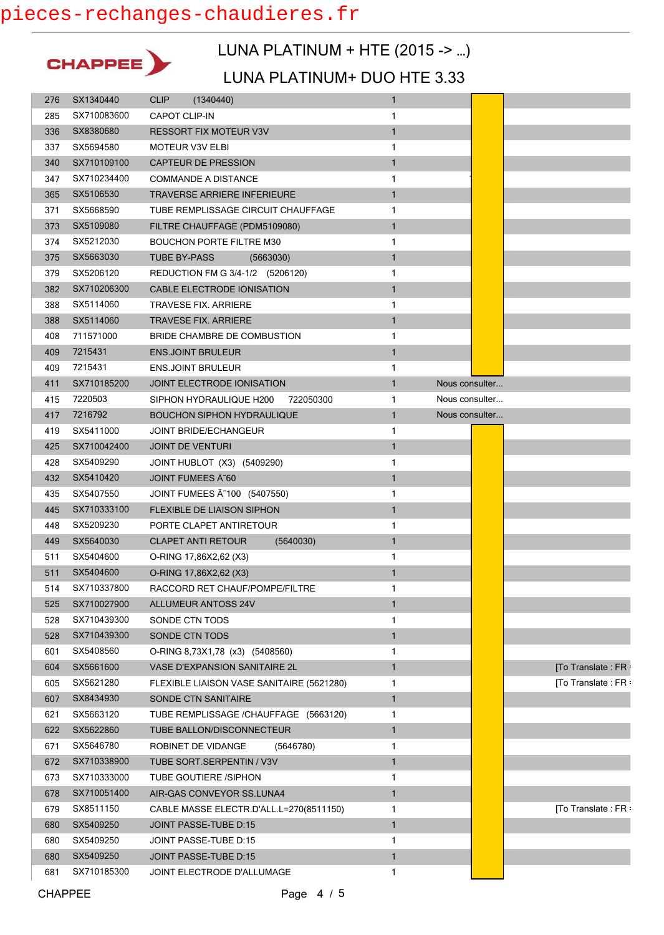

### LUNA PLATINUM + HTE (2015 -> …)

| 276 | SX1340440   | <b>CLIP</b><br>(1340440)                  | $\mathbf{1}$                   |                    |
|-----|-------------|-------------------------------------------|--------------------------------|--------------------|
| 285 | SX710083600 | <b>CAPOT CLIP-IN</b>                      | 1                              |                    |
| 336 | SX8380680   | <b>RESSORT FIX MOTEUR V3V</b>             | $\mathbf{1}$                   |                    |
| 337 | SX5694580   | <b>MOTEUR V3V ELBI</b>                    | 1                              |                    |
| 340 | SX710109100 | <b>CAPTEUR DE PRESSION</b>                | $\mathbf{1}$                   |                    |
| 347 | SX710234400 | <b>COMMANDE A DISTANCE</b>                | 1                              |                    |
| 365 | SX5106530   | <b>TRAVERSE ARRIERE INFERIEURE</b>        | $\mathbf{1}$                   |                    |
| 371 | SX5668590   | TUBE REMPLISSAGE CIRCUIT CHAUFFAGE        | 1                              |                    |
| 373 | SX5109080   | FILTRE CHAUFFAGE (PDM5109080)             | $\mathbf{1}$                   |                    |
| 374 | SX5212030   | <b>BOUCHON PORTE FILTRE M30</b>           | 1                              |                    |
| 375 | SX5663030   | <b>TUBE BY-PASS</b><br>(5663030)          | $\mathbf{1}$                   |                    |
| 379 | SX5206120   | REDUCTION FM G 3/4-1/2 (5206120)          | 1                              |                    |
| 382 | SX710206300 | CABLE ELECTRODE IONISATION                | $\mathbf{1}$                   |                    |
| 388 | SX5114060   | TRAVESE FIX. ARRIERE                      | 1                              |                    |
| 388 | SX5114060   | <b>TRAVESE FIX. ARRIERE</b>               | $\mathbf{1}$                   |                    |
| 408 | 711571000   | BRIDE CHAMBRE DE COMBUSTION               | 1                              |                    |
| 409 | 7215431     | <b>ENS.JOINT BRULEUR</b>                  | $\mathbf{1}$                   |                    |
| 409 | 7215431     | <b>ENS.JOINT BRULEUR</b>                  | 1                              |                    |
| 411 | SX710185200 | <b>JOINT ELECTRODE IONISATION</b>         | 1<br>Nous consulter            |                    |
| 415 | 7220503     | SIPHON HYDRAULIQUE H200<br>722050300      | Nous consulter<br>1            |                    |
| 417 | 7216792     | <b>BOUCHON SIPHON HYDRAULIQUE</b>         | $\mathbf{1}$<br>Nous consulter |                    |
| 419 | SX5411000   | <b>JOINT BRIDE/ECHANGEUR</b>              | 1                              |                    |
| 425 | SX710042400 | <b>JOINT DE VENTURI</b>                   | $\mathbf{1}$                   |                    |
| 428 | SX5409290   | JOINT HUBLOT (X3) (5409290)               | 1                              |                    |
| 432 | SX5410420   | JOINT FUMEES A 60                         | $\mathbf{1}$                   |                    |
| 435 | SX5407550   | JOINT FUMEES A 100 (5407550)              | 1                              |                    |
| 445 | SX710333100 | FLEXIBLE DE LIAISON SIPHON                | $\mathbf{1}$                   |                    |
| 448 | SX5209230   | PORTE CLAPET ANTIRETOUR                   | 1                              |                    |
| 449 | SX5640030   | <b>CLAPET ANTI RETOUR</b><br>(5640030)    | $\mathbf{1}$                   |                    |
| 511 | SX5404600   | O-RING 17,86X2,62 (X3)                    | 1                              |                    |
| 511 | SX5404600   | O-RING 17,86X2,62 (X3)                    | $\mathbf{1}$                   |                    |
| 514 | SX710337800 | RACCORD RET CHAUF/POMPE/FILTRE            | 1                              |                    |
| 525 | SX710027900 | <b>ALLUMEUR ANTOSS 24V</b>                | 1                              |                    |
| 528 | SX710439300 | SONDE CTN TODS                            | 1                              |                    |
| 528 | SX710439300 | SONDE CTN TODS                            | $\mathbf{1}$                   |                    |
| 601 | SX5408560   | O-RING 8,73X1,78 (x3) (5408560)           | 1                              |                    |
| 604 | SX5661600   | <b>VASE D'EXPANSION SANITAIRE 2L</b>      | $\mathbf{1}$                   | [To Translate: FR: |
| 605 | SX5621280   | FLEXIBLE LIAISON VASE SANITAIRE (5621280) | 1                              | [To Translate: FR: |
| 607 | SX8434930   | SONDE CTN SANITAIRE                       | $\mathbf{1}$                   |                    |
| 621 | SX5663120   | TUBE REMPLISSAGE /CHAUFFAGE (5663120)     | 1                              |                    |
| 622 | SX5622860   | TUBE BALLON/DISCONNECTEUR                 | $\mathbf{1}$                   |                    |
| 671 | SX5646780   | ROBINET DE VIDANGE<br>(5646780)           | 1                              |                    |
| 672 | SX710338900 | TUBE SORT.SERPENTIN / V3V                 | $\mathbf{1}$                   |                    |
| 673 | SX710333000 | TUBE GOUTIERE /SIPHON                     | 1                              |                    |
| 678 | SX710051400 | AIR-GAS CONVEYOR SS.LUNA4                 | $\mathbf{1}$                   |                    |
| 679 | SX8511150   | CABLE MASSE ELECTR.D'ALL.L=270(8511150)   | 1                              | [To Translate: FR: |
| 680 | SX5409250   | JOINT PASSE-TUBE D:15                     | $\mathbf{1}$                   |                    |
|     |             |                                           |                                |                    |
| 680 | SX5409250   | JOINT PASSE-TUBE D:15                     | 1                              |                    |
| 680 | SX5409250   | JOINT PASSE-TUBE D:15                     | $\mathbf{1}$                   |                    |